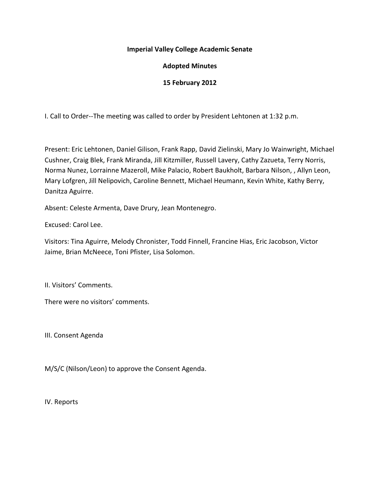#### **Imperial Valley College Academic Senate**

## **Adopted Minutes**

### **15 February 2012**

I. Call to Order--The meeting was called to order by President Lehtonen at 1:32 p.m.

Present: Eric Lehtonen, Daniel Gilison, Frank Rapp, David Zielinski, Mary Jo Wainwright, Michael Cushner, Craig Blek, Frank Miranda, Jill Kitzmiller, Russell Lavery, Cathy Zazueta, Terry Norris, Norma Nunez, Lorrainne Mazeroll, Mike Palacio, Robert Baukholt, Barbara Nilson, , Allyn Leon, Mary Lofgren, Jill Nelipovich, Caroline Bennett, Michael Heumann, Kevin White, Kathy Berry, Danitza Aguirre.

Absent: Celeste Armenta, Dave Drury, Jean Montenegro.

Excused: Carol Lee.

Visitors: Tina Aguirre, Melody Chronister, Todd Finnell, Francine Hias, Eric Jacobson, Victor Jaime, Brian McNeece, Toni Pfister, Lisa Solomon.

II. Visitors' Comments.

There were no visitors' comments.

III. Consent Agenda

M/S/C (Nilson/Leon) to approve the Consent Agenda.

IV. Reports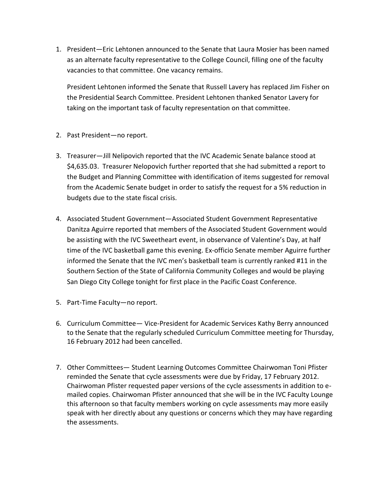1. President—Eric Lehtonen announced to the Senate that Laura Mosier has been named as an alternate faculty representative to the College Council, filling one of the faculty vacancies to that committee. One vacancy remains.

President Lehtonen informed the Senate that Russell Lavery has replaced Jim Fisher on the Presidential Search Committee. President Lehtonen thanked Senator Lavery for taking on the important task of faculty representation on that committee.

- 2. Past President—no report.
- 3. Treasurer—Jill Nelipovich reported that the IVC Academic Senate balance stood at \$4,635.03. Treasurer Nelopovich further reported that she had submitted a report to the Budget and Planning Committee with identification of items suggested for removal from the Academic Senate budget in order to satisfy the request for a 5% reduction in budgets due to the state fiscal crisis.
- 4. Associated Student Government—Associated Student Government Representative Danitza Aguirre reported that members of the Associated Student Government would be assisting with the IVC Sweetheart event, in observance of Valentine's Day, at half time of the IVC basketball game this evening. Ex-officio Senate member Aguirre further informed the Senate that the IVC men's basketball team is currently ranked #11 in the Southern Section of the State of California Community Colleges and would be playing San Diego City College tonight for first place in the Pacific Coast Conference.
- 5. Part-Time Faculty—no report.
- 6. Curriculum Committee— Vice-President for Academic Services Kathy Berry announced to the Senate that the regularly scheduled Curriculum Committee meeting for Thursday, 16 February 2012 had been cancelled.
- 7. Other Committees— Student Learning Outcomes Committee Chairwoman Toni Pfister reminded the Senate that cycle assessments were due by Friday, 17 February 2012. Chairwoman Pfister requested paper versions of the cycle assessments in addition to emailed copies. Chairwoman Pfister announced that she will be in the IVC Faculty Lounge this afternoon so that faculty members working on cycle assessments may more easily speak with her directly about any questions or concerns which they may have regarding the assessments.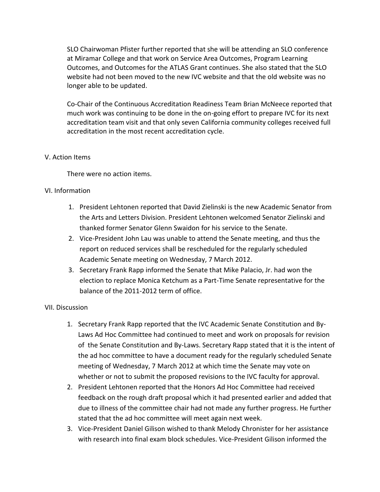SLO Chairwoman Pfister further reported that she will be attending an SLO conference at Miramar College and that work on Service Area Outcomes, Program Learning Outcomes, and Outcomes for the ATLAS Grant continues. She also stated that the SLO website had not been moved to the new IVC website and that the old website was no longer able to be updated.

Co-Chair of the Continuous Accreditation Readiness Team Brian McNeece reported that much work was continuing to be done in the on-going effort to prepare IVC for its next accreditation team visit and that only seven California community colleges received full accreditation in the most recent accreditation cycle.

### V. Action Items

There were no action items.

### VI. Information

- 1. President Lehtonen reported that David Zielinski is the new Academic Senator from the Arts and Letters Division. President Lehtonen welcomed Senator Zielinski and thanked former Senator Glenn Swaidon for his service to the Senate.
- 2. Vice-President John Lau was unable to attend the Senate meeting, and thus the report on reduced services shall be rescheduled for the regularly scheduled Academic Senate meeting on Wednesday, 7 March 2012.
- 3. Secretary Frank Rapp informed the Senate that Mike Palacio, Jr. had won the election to replace Monica Ketchum as a Part-Time Senate representative for the balance of the 2011-2012 term of office.

#### VII. Discussion

- 1. Secretary Frank Rapp reported that the IVC Academic Senate Constitution and By-Laws Ad Hoc Committee had continued to meet and work on proposals for revision of the Senate Constitution and By-Laws. Secretary Rapp stated that it is the intent of the ad hoc committee to have a document ready for the regularly scheduled Senate meeting of Wednesday, 7 March 2012 at which time the Senate may vote on whether or not to submit the proposed revisions to the IVC faculty for approval.
- 2. President Lehtonen reported that the Honors Ad Hoc Committee had received feedback on the rough draft proposal which it had presented earlier and added that due to illness of the committee chair had not made any further progress. He further stated that the ad hoc committee will meet again next week.
- 3. Vice-President Daniel Gilison wished to thank Melody Chronister for her assistance with research into final exam block schedules. Vice-President Gilison informed the